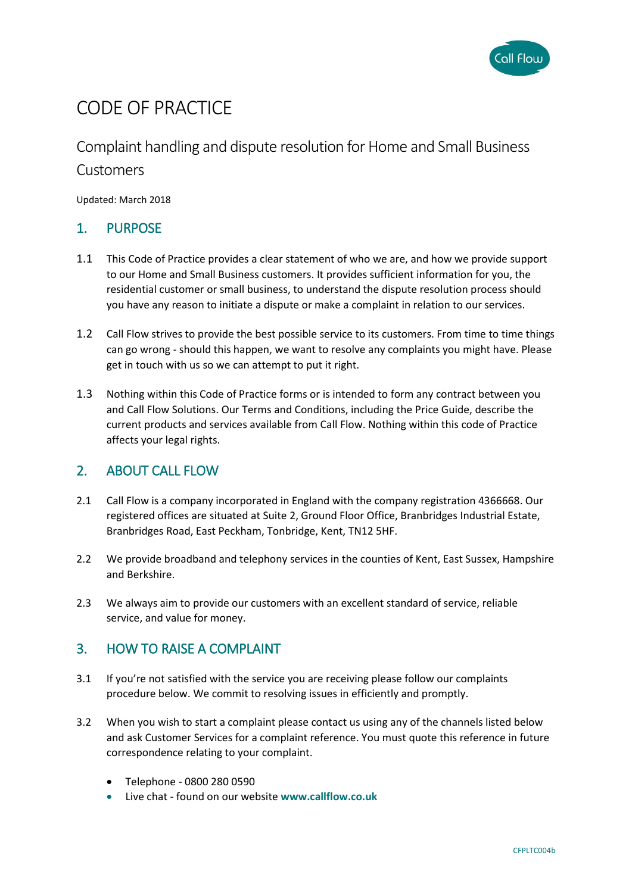

# CODE OF PRACTICE

# Complaint handling and dispute resolution for Home and Small Business

### Customers

Updated: March 2018

# 1. PURPOSE

- 1.1 This Code of Practice provides a clear statement of who we are, and how we provide support to our Home and Small Business customers. It provides sufficient information for you, the residential customer or small business, to understand the dispute resolution process should you have any reason to initiate a dispute or make a complaint in relation to our services.
- 1.2 Call Flow strives to provide the best possible service to its customers. From time to time things can go wrong - should this happen, we want to resolve any complaints you might have. Please get in touch with us so we can attempt to put it right.
- 1.3 Nothing within this Code of Practice forms or is intended to form any contract between you and Call Flow Solutions. Our Terms and Conditions, including the Price Guide, describe the current products and services available from Call Flow. Nothing within this code of Practice affects your legal rights.

## 2. ABOUT CALL FLOW

- 2.1 Call Flow is a company incorporated in England with the company registration 4366668. Our registered offices are situated at Suite 2, Ground Floor Office, Branbridges Industrial Estate, Branbridges Road, East Peckham, Tonbridge, Kent, TN12 5HF.
- 2.2 We provide broadband and telephony services in the counties of Kent, East Sussex, Hampshire and Berkshire.
- 2.3 We always aim to provide our customers with an excellent standard of service, reliable service, and value for money.

## 3. HOW TO RAISE A COMPLAINT

- 3.1 If you're not satisfied with the service you are receiving please follow our complaints procedure below. We commit to resolving issues in efficiently and promptly.
- 3.2 When you wish to start a complaint please contact us using any of the channels listed below and ask Customer Services for a complaint reference. You must quote this reference in future correspondence relating to your complaint.
	- Telephone 0800 280 0590
	- Live chat found on our website **www.callflow.co.uk**